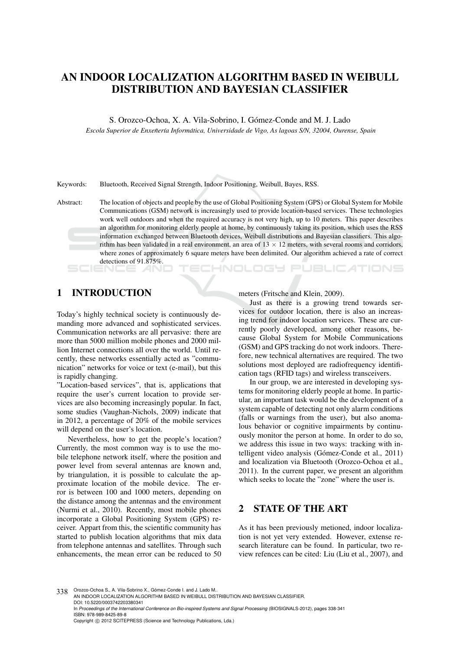# AN INDOOR LOCALIZATION ALGORITHM BASED IN WEIBULL DISTRIBUTION AND BAYESIAN CLASSIFIER

S. Orozco-Ochoa, X. A. Vila-Sobrino, I. Gómez-Conde and M. J. Lado

*Escola Superior de Enxener ˜ ´ıa Informatica, Universidade de Vigo, As lagoas S/N, 32004, Ourense, Spain ´*

Keywords: Bluetooth, Received Signal Strength, Indoor Positioning, Weibull, Bayes, RSS.

Abstract: The location of objects and people by the use of Global Positioning System (GPS) or Global System for Mobile Communications (GSM) network is increasingly used to provide location-based services. These technologies work well outdoors and when the required accuracy is not very high, up to 10 meters. This paper describes an algorithm for monitoring elderly people at home, by continuously taking its position, which uses the RSS information exchanged between Bluetooth devices, Weibull distributions and Bayesian classifiers. This algorithm has been validated in a real environment, an area of  $13 \times 12$  meters, with several rooms and corridors, where zones of approximately 6 square meters have been delimited. Our algorithm achieved a rate of correct detections of 91.875%. ECHNOLOGY PUBLIC ATIONS

## 1 INTRODUCTION

Today's highly technical society is continuously demanding more advanced and sophisticated services. Communication networks are all pervasive: there are more than 5000 million mobile phones and 2000 million Internet connections all over the world. Until recently, these networks essentially acted as "communication" networks for voice or text (e-mail), but this is rapidly changing.

"Location-based services", that is, applications that require the user's current location to provide services are also becoming increasingly popular. In fact, some studies (Vaughan-Nichols, 2009) indicate that in 2012, a percentage of 20% of the mobile services will depend on the user's location.

Nevertheless, how to get the people's location? Currently, the most common way is to use the mobile telephone network itself, where the position and power level from several antennas are known and, by triangulation, it is possible to calculate the approximate location of the mobile device. The error is between 100 and 1000 meters, depending on the distance among the antennas and the environment (Nurmi et al., 2010). Recently, most mobile phones incorporate a Global Positioning System (GPS) receiver. Appart from this, the scientific community has started to publish location algorithms that mix data from telephone antennas and satellites. Through such enhancements, the mean error can be reduced to 50

meters (Fritsche and Klein, 2009).

Just as there is a growing trend towards services for outdoor location, there is also an increasing trend for indoor location services. These are currently poorly developed, among other reasons, because Global System for Mobile Communications (GSM) and GPS tracking do not work indoors. Therefore, new technical alternatives are required. The two solutions most deployed are radiofrequency identification tags (RFID tags) and wireless transceivers.

In our group, we are interested in developing systems for monitoring elderly people at home. In particular, an important task would be the development of a system capable of detecting not only alarm conditions (falls or warnings from the user), but also anomalous behavior or cognitive impairments by continuously monitor the person at home. In order to do so, we address this issue in two ways: tracking with intelligent video analysis (Gómez-Conde et al., 2011) and localization via Bluetooth (Orozco-Ochoa et al., 2011). In the current paper, we present an algorithm which seeks to locate the "zone" where the user is.

### 2 STATE OF THE ART

As it has been previously metioned, indoor localization is not yet very extended. However, extense research literature can be found. In particular, two review refences can be cited: Liu (Liu et al., 2007), and

338 Orozco-Ochoa S., A. Vila-Sobrino X., Gómez-Conde I. and J. Lado M.. AN INDOOR LOCALIZATION ALGORITHM BASED IN WEIBULL DISTRIBUTION AND BAYESIAN CLASSIFIER. DOI: 10.5220/0003742203380341 In *Proceedings of the International Conference on Bio-inspired Systems and Signal Processing* (BIOSIGNALS-2012), pages 338-341 ISBN: 978-989-8425-89-8 Copyright © 2012 SCITEPRESS (Science and Technology Publications, Lda.)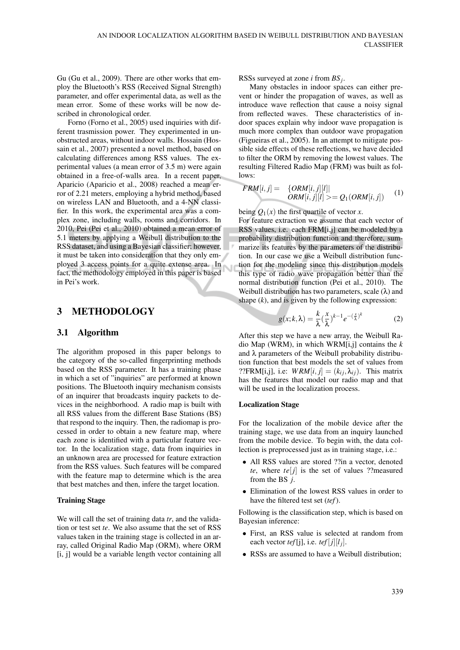Gu (Gu et al., 2009). There are other works that employ the Bluetooth's RSS (Received Signal Strength) parameter, and offer experimental data, as well as the mean error. Some of these works will be now described in chronological order.

Forno (Forno et al., 2005) used inquiries with different trasmission power. They experimented in unobstructed areas, without indoor walls. Hossain (Hossain et al., 2007) presented a novel method, based on calculating differences among RSS values. The experimental values (a mean error of 3.5 m) were again obtained in a free-of-walls area. In a recent paper, Aparicio (Aparicio et al., 2008) reached a mean error of 2.21 meters, employing a hybrid method, based on wireless LAN and Bluetooth, and a 4-NN classifier. In this work, the experimental area was a complex zone, including walls, rooms and corridors. In 2010, Pei (Pei et al., 2010) obtained a mean error of 5.1 meters by applying a Weibull distribution to the RSS dataset, and using a Bayesian classifier; however, it must be taken into consideration that they only employed 3 access points for a quite extense area. In fact, the methodology employed in this paper is based in Pei's work.

## 3 METHODOLOGY

### 3.1 Algorithm

The algorithm proposed in this paper belongs to the category of the so-called fingerprinting methods based on the RSS parameter. It has a training phase in which a set of "inquiries" are performed at known positions. The Bluetooth inquiry mechanism consists of an inquirer that broadcasts inquiry packets to devices in the neighborhood. A radio map is built with all RSS values from the different Base Stations (BS) that respond to the inquiry. Then, the radiomap is processed in order to obtain a new feature map, where each zone is identified with a particular feature vector. In the localization stage, data from inquiries in an unknown area are processed for feature extraction from the RSS values. Such features will be compared with the feature map to determine which is the area that best matches and then, infere the target location.

#### Training Stage

We will call the set of training data *tr*, and the validation or test set *te*. We also assume that the set of RSS values taken in the training stage is collected in an array, called Original Radio Map (ORM), where ORM [i, j] would be a variable length vector containing all RSSs surveyed at zone *i* from *BS<sup>j</sup>* .

Many obstacles in indoor spaces can either prevent or hinder the propagation of waves, as well as introduce wave reflection that cause a noisy signal from reflected waves. These characteristics of indoor spaces explain why indoor wave propagation is much more complex than outdoor wave propagation (Figueiras et al., 2005). In an attempt to mitigate possible side effects of these reflections, we have decided to filter the ORM by removing the lowest values. The resulting Filtered Radio Map (FRM) was built as follows:

$$
FRM[i,j] = \{ORM[i,j][l]|
$$
  

$$
ORM[i,j][l] >= Q_1(ORM[i,j])
$$
 (1)

being  $Q_1(x)$  the first quartile of vector *x*.

For feature extraction we assume that each vector of RSS values, i.e. each FRM[i,j] can be modeled by a probability distribution function and therefore, summarize its features by the parameters of the distribution. In our case we use a Weibull distribution function for the modeling since this distribution models this type of radio wave propagation better than the normal distribution function (Pei et al., 2010). The Weibull distribution has two parameters, scale  $(\lambda)$  and shape (*k*), and is given by the following expression:

$$
g(x; k, \lambda) = \frac{k}{\lambda} \left(\frac{x}{\lambda}\right)^{k-1} e^{-\left(\frac{x}{\lambda}\right)^k}
$$
 (2)

After this step we have a new array, the Weibull Radio Map (WRM), in which WRM[i,j] contains the *k* and  $\lambda$  parameters of the Weibull probability distribution function that best models the set of values from ??FRM[i,j], i.e:  $WRM[i, j] = (k_{ij}, \lambda_{ij})$ . This matrix has the features that model our radio map and that will be used in the localization process.

#### Localization Stage

For the localization of the mobile device after the training stage, we use data from an inquiry launched from the mobile device. To begin with, the data collection is preprocessed just as in training stage, i.e.:

- All RSS values are stored ??in a vector, denoted *te*, where  $te[i]$  is the set of values ??measured from the BS *j*.
- Elimination of the lowest RSS values in order to have the filtered test set (*tef*).

Following is the classification step, which is based on Bayesian inference:

- First, an RSS value is selected at random from each vector *tef* [j], i.e. *tef* [*j*][ $l_j$ ].
- RSSs are assumed to have a Weibull distribution;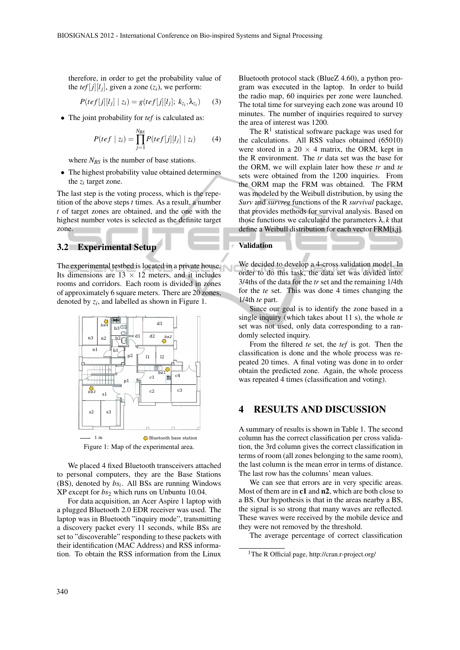therefore, in order to get the probability value of the *tef*  $[j][l_j]$ , given a zone  $(z_i)$ , we perform:

$$
P(tef[j][l_j] | z_i) = g(tef[j][l_j]; k_{z_i}, \lambda_{z_i})
$$
 (3)

• The joint probability for *tef* is calculated as:

$$
P(tef | z_i) = \prod_{j=1}^{N_{BS}} P(tef[j][l_j | z_i)
$$
 (4)

where  $N_{BS}$  is the number of base stations.

• The highest probability value obtained determines the  $z_i$  target zone.

The last step is the voting process, which is the repetition of the above steps *t* times. As a result, a number *t* of target zones are obtained, and the one with the highest number votes is selected as the definite target zone.

### 3.2 Experimental Setup

The experimental testbed is located in a private house. Its dimensions are  $13 \times 12$  meters, and it includes rooms and corridors. Each room is divided in zones of approximately 6 square meters. There are 20 zones, denoted by *z<sup>i</sup>* , and labelled as shown in Figure 1.



Figure 1: Map of the experimental area.

We placed 4 fixed Bluetooth transceivers attached to personal computers, they are the Base Stations (BS), denoted by  $bs_i$ . All BSs are running Windows XP except for *bs*<sup>2</sup> which runs on Unbuntu 10.04.

For data acquisition, an Acer Aspire 1 laptop with a plugged Bluetooth 2.0 EDR receiver was used. The laptop was in Bluetooth "inquiry mode", transmitting a discovery packet every 11 seconds, while BSs are set to "discoverable" responding to these packets with their identification (MAC Address) and RSS information. To obtain the RSS information from the Linux

Bluetooth protocol stack (BlueZ 4.60), a python program was executed in the laptop. In order to build the radio map, 60 inquiries per zone were launched. The total time for surveying each zone was around 10 minutes. The number of inquiries required to survey the area of interest was 1200.

The  $R<sup>1</sup>$  statistical software package was used for the calculations. All RSS values obtained (65010) were stored in a  $20 \times 4$  matrix, the ORM, kept in the R environment. The *tr* data set was the base for the ORM, we will explain later how these *tr* and *te* sets were obtained from the 1200 inquiries. From the ORM map the FRM was obtained. The FRM was modeled by the Weibull distribution, by using the *Surv* and *survreg* functions of the R *survival* package, that provides methods for survival analysis. Based on those functions we calculated the parameters  $\lambda$ , *k* that define a Weibull distribution for each vector FRM[i,j].

#### Validation

We decided to develop a 4-cross validation model. In order to do this task, the data set was divided into: 3/4ths of the data for the *tr* set and the remaining 1/4th for the *te* set. This was done 4 times changing the 1/4th *te* part.

Since our goal is to identify the zone based in a single inquiry (which takes about 11 s), the whole *te* set was not used, only data corresponding to a randomly selected inquiry.

From the filtered *te* set, the *tef* is got. Then the classification is done and the whole process was repeated 20 times. A final voting was done in to order obtain the predicted zone. Again, the whole process was repeated 4 times (classification and voting).

## 4 RESULTS AND DISCUSSION

A summary of results is shown in Table 1. The second column has the correct classification per cross validation, the 3rd column gives the correct classification in terms of room (all zones belonging to the same room), the last column is the mean error in terms of distance. The last row has the columns' mean values.

We can see that errors are in very specific areas. Most of them are in  $c1$  and  $n2$ , which are both close to a BS. Our hypothesis is that in the areas nearby a BS, the signal is so strong that many waves are reflected. These waves were received by the mobile device and they were not removed by the threshold.

The average percentage of correct classification

<sup>1</sup>The R Official page, http://cran.r-project.org/